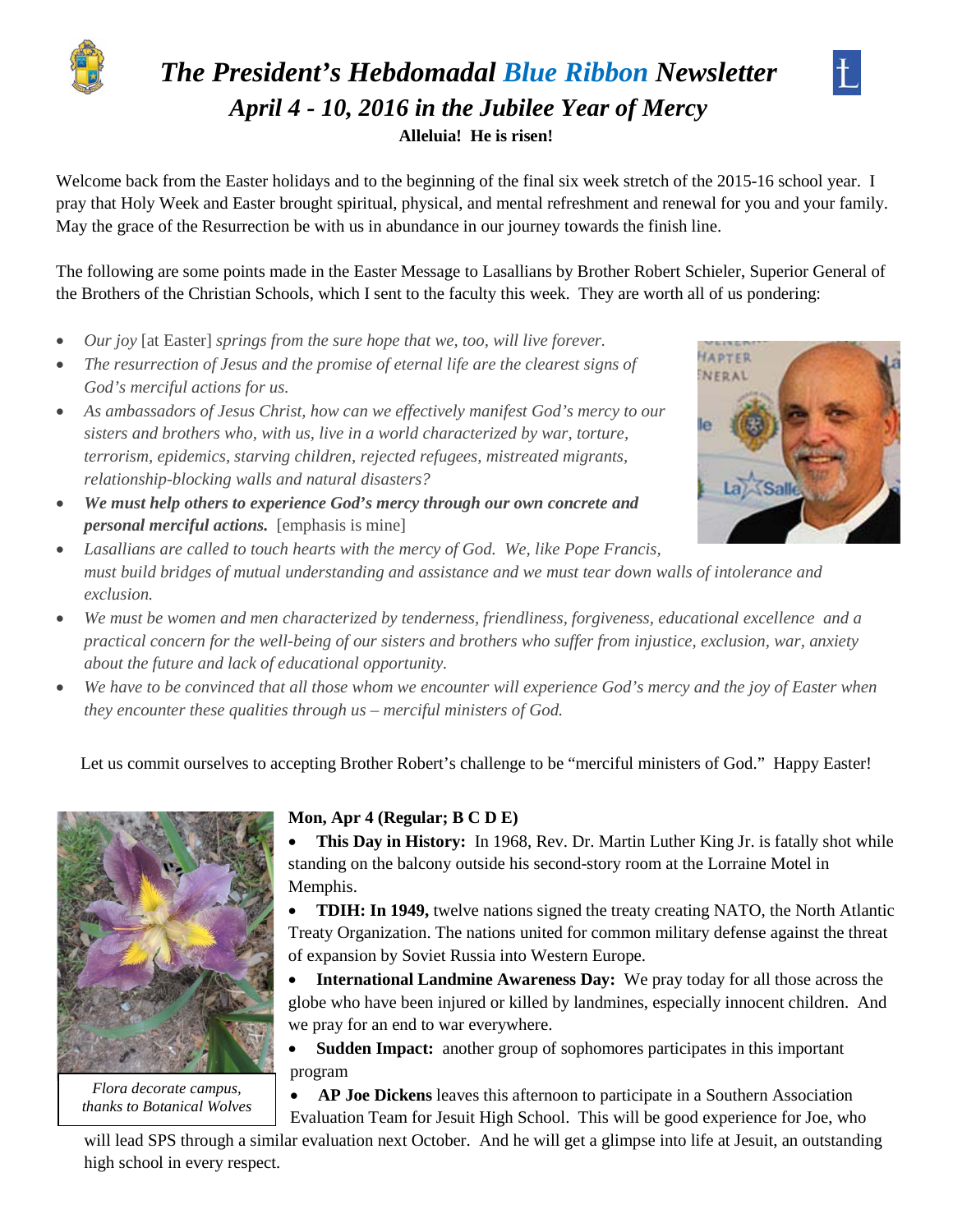

## *The President's Hebdomadal Blue Ribbon Newsletter April 4 - 10, 2016 in the Jubilee Year of Mercy* **Alleluia! He is risen!**



Welcome back from the Easter holidays and to the beginning of the final six week stretch of the 2015-16 school year. I pray that Holy Week and Easter brought spiritual, physical, and mental refreshment and renewal for you and your family. May the grace of the Resurrection be with us in abundance in our journey towards the finish line.

The following are some points made in the Easter Message to Lasallians by Brother Robert Schieler, Superior General of the Brothers of the Christian Schools, which I sent to the faculty this week. They are worth all of us pondering:

- *Our joy* [at Easter] *springs from the sure hope that we, too, will live forever.*
- *The resurrection of Jesus and the promise of eternal life are the clearest signs of God's merciful actions for us.*
- *As ambassadors of Jesus Christ, how can we effectively manifest God's mercy to our sisters and brothers who, with us, live in a world characterized by war, torture, terrorism, epidemics, starving children, rejected refugees, mistreated migrants, relationship-blocking walls and natural disasters?*
- *We must help others to experience God's mercy through our own concrete and personal merciful actions.* [emphasis is mine]



- *Lasallians are called to touch hearts with the mercy of God. We, like Pope Francis, must build bridges of mutual understanding and assistance and we must tear down walls of intolerance and exclusion.*
- *We must be women and men characterized by tenderness, friendliness, forgiveness, educational excellence and a practical concern for the well-being of our sisters and brothers who suffer from injustice, exclusion, war, anxiety about the future and lack of educational opportunity.*
- *We have to be convinced that all those whom we encounter will experience God's mercy and the joy of Easter when they encounter these qualities through us – merciful ministers of God.*

Let us commit ourselves to accepting Brother Robert's challenge to be "merciful ministers of God." Happy Easter!



*Flora decorate campus, thanks to Botanical Wolves*

#### **Mon, Apr 4 (Regular; B C D E)**

• **This Day in History:** In 1968, Rev. Dr. Martin Luther King Jr. is fatally shot while standing on the balcony outside his second-story room at the Lorraine Motel in Memphis.

• **TDIH: In 1949,** twelve nations signed the treaty creating NATO, the North Atlantic Treaty Organization. The nations united for common military defense against the threat of expansion by Soviet Russia into Western Europe.

• **International Landmine Awareness Day:** We pray today for all those across the globe who have been injured or killed by landmines, especially innocent children. And we pray for an end to war everywhere.

• **Sudden Impact:** another group of sophomores participates in this important program

• **AP Joe Dickens** leaves this afternoon to participate in a Southern Association Evaluation Team for Jesuit High School. This will be good experience for Joe, who

will lead SPS through a similar evaluation next October. And he will get a glimpse into life at Jesuit, an outstanding high school in every respect.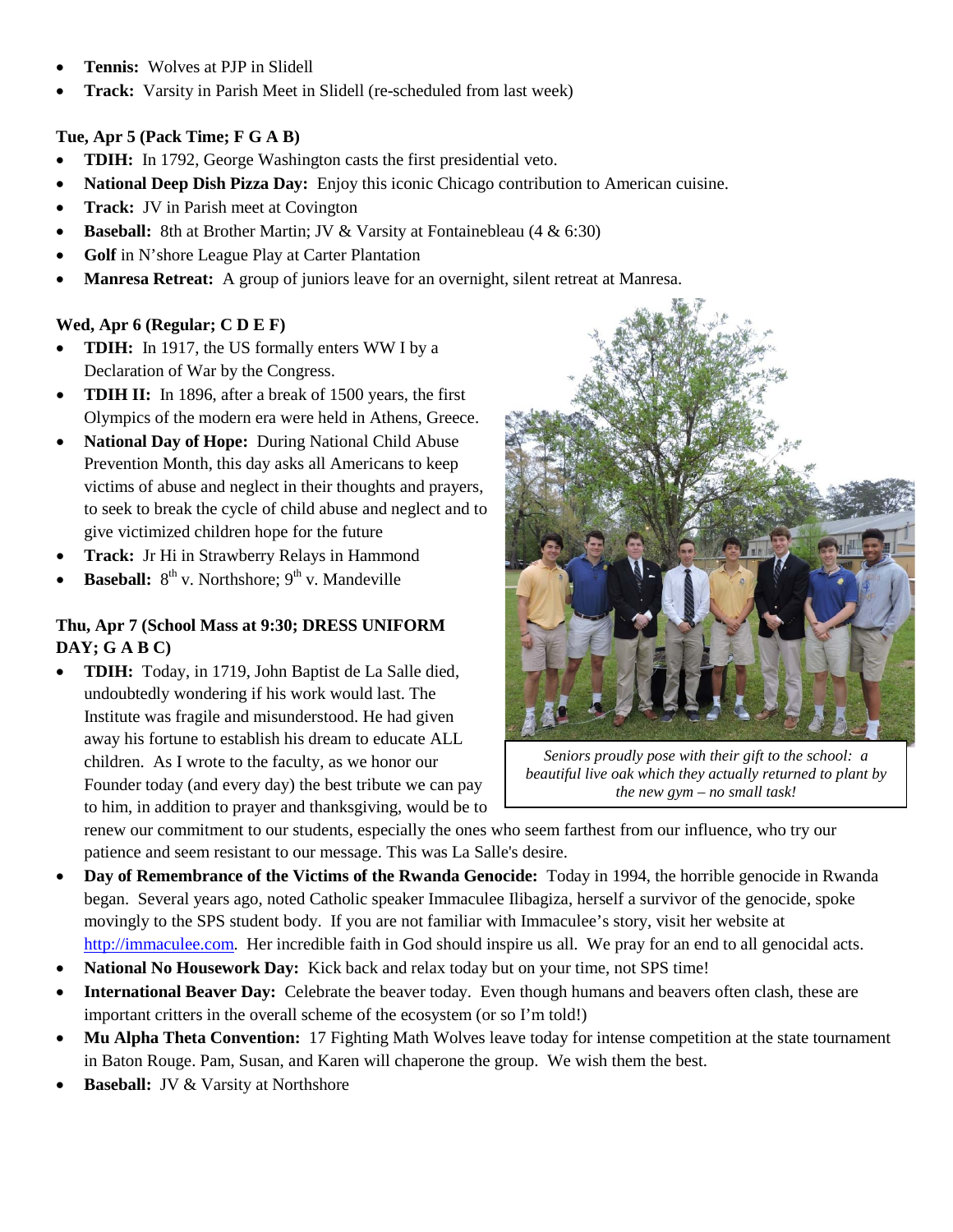- **Tennis:** Wolves at PJP in Slidell
- **Track:** Varsity in Parish Meet in Slidell (re-scheduled from last week)

#### **Tue, Apr 5 (Pack Time; F G A B)**

- **TDIH:** In 1792, George Washington casts the first presidential veto.
- **National Deep Dish Pizza Day:** Enjoy this iconic Chicago contribution to American cuisine.
- **Track:** JV in Parish meet at Covington
- **Baseball:** 8th at Brother Martin; JV & Varsity at Fontainebleau (4 & 6:30)
- **Golf** in N'shore League Play at Carter Plantation
- **Manresa Retreat:** A group of juniors leave for an overnight, silent retreat at Manresa.

#### **Wed, Apr 6 (Regular; C D E F)**

- **TDIH:** In 1917, the US formally enters WW I by a Declaration of War by the Congress.
- **TDIH II:** In 1896, after a break of 1500 years, the first Olympics of the modern era were held in Athens, Greece.
- **National Day of Hope:** During National Child Abuse Prevention Month, this day asks all Americans to keep victims of abuse and neglect in their thoughts and prayers, to seek to break the cycle of child abuse and neglect and to give victimized children hope for the future
- **Track:** Jr Hi in Strawberry Relays in Hammond
- **Baseball:** 8<sup>th</sup> v. Northshore; 9<sup>th</sup> v. Mandeville

#### **Thu, Apr 7 (School Mass at 9:30; DRESS UNIFORM DAY; G A B C)**

• **TDIH:** Today, in 1719, John Baptist de La Salle died, undoubtedly wondering if his work would last. The Institute was fragile and misunderstood. He had given away his fortune to establish his dream to educate ALL children. As I wrote to the faculty, as we honor our Founder today (and every day) the best tribute we can pay to him, in addition to prayer and thanksgiving, would be to



*Seniors proudly pose with their gift to the school: a beautiful live oak which they actually returned to plant by the new gym – no small task!*

renew our commitment to our students, especially the ones who seem farthest from our influence, who try our patience and seem resistant to our message. This was La Salle's desire.

- **Day of Remembrance of the Victims of the Rwanda Genocide:** Today in 1994, the horrible genocide in Rwanda began. Several years ago, noted Catholic speaker Immaculee Ilibagiza, herself a survivor of the genocide, spoke movingly to the SPS student body. If you are not familiar with Immaculee's story, visit her website at [http://immaculee.com.](http://immaculee.com/) Her incredible faith in God should inspire us all. We pray for an end to all genocidal acts.
- **National No Housework Day:** Kick back and relax today but on your time, not SPS time!
- **International Beaver Day:** Celebrate the beaver today. Even though humans and beavers often clash, these are important critters in the overall scheme of the ecosystem (or so I'm told!)
- **Mu Alpha Theta Convention:** 17 Fighting Math Wolves leave today for intense competition at the state tournament in Baton Rouge. Pam, Susan, and Karen will chaperone the group. We wish them the best.
- **Baseball:** JV & Varsity at Northshore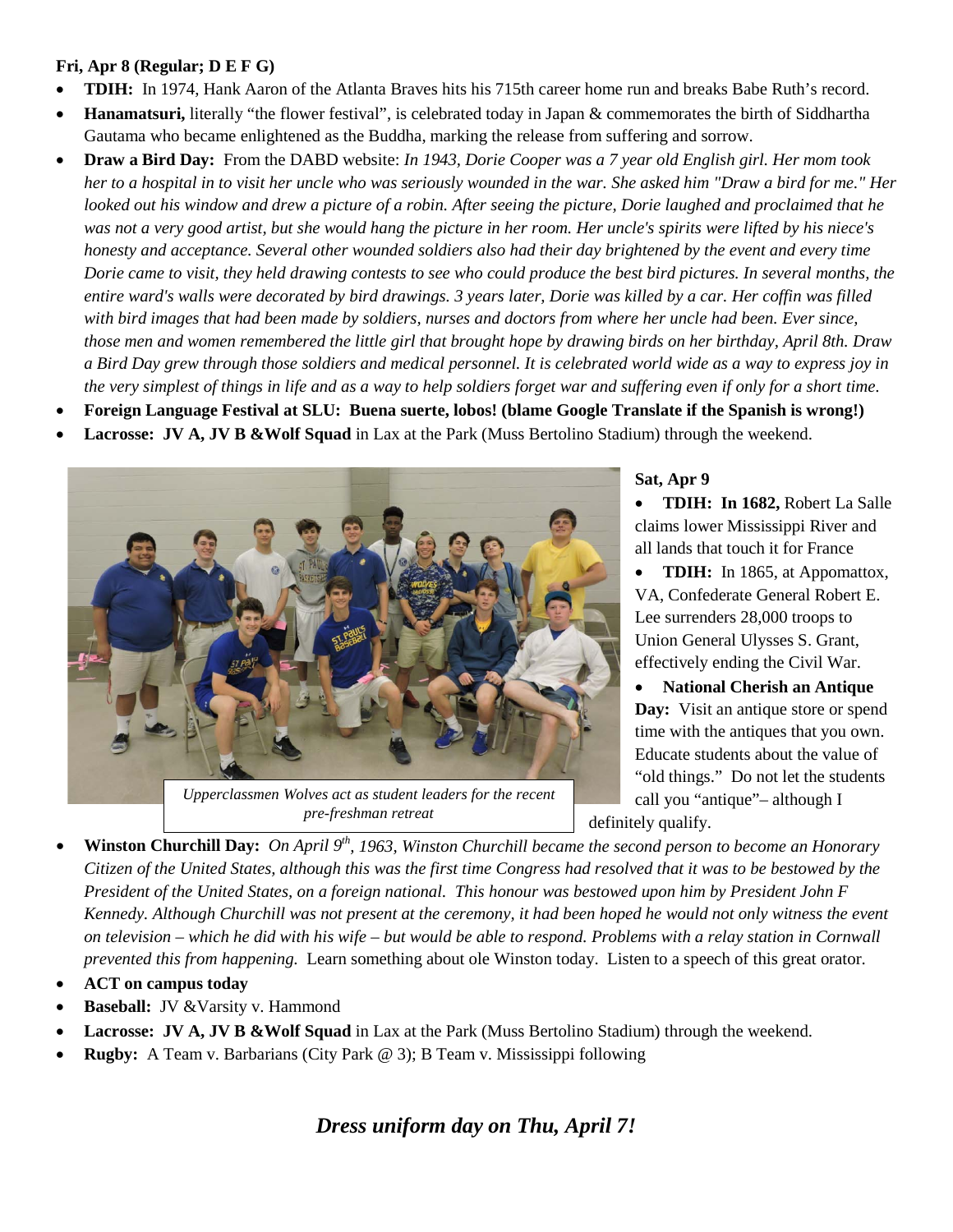#### **Fri, Apr 8 (Regular; D E F G)**

- **TDIH:** In 1974, Hank Aaron of the Atlanta Braves hits his 715th career home run and breaks Babe Ruth's record.
- **Hanamatsuri,** literally "the flower festival", is celebrated today in Japan & commemorates the birth of Siddhartha Gautama who became enlightened as the Buddha, marking the release from suffering and sorrow.
- **Draw a Bird Day:** From the DABD website: *In 1943, Dorie Cooper was a 7 year old English girl. Her mom took her to a hospital in to visit her uncle who was seriously wounded in the war. She asked him "Draw a bird for me." Her looked out his window and drew a picture of a robin. After seeing the picture, Dorie laughed and proclaimed that he was not a very good artist, but she would hang the picture in her room. Her uncle's spirits were lifted by his niece's honesty and acceptance. Several other wounded soldiers also had their day brightened by the event and every time Dorie came to visit, they held drawing contests to see who could produce the best bird pictures. In several months, the entire ward's walls were decorated by bird drawings. 3 years later, Dorie was killed by a car. Her coffin was filled*  with bird images that had been made by soldiers, nurses and doctors from where her uncle had been. Ever since, *those men and women remembered the little girl that brought hope by drawing birds on her birthday, April 8th. Draw a Bird Day grew through those soldiers and medical personnel. It is celebrated world wide as a way to express joy in the very simplest of things in life and as a way to help soldiers forget war and suffering even if only for a short time.*
- **Foreign Language Festival at SLU: Buena suerte, lobos! (blame Google Translate if the Spanish is wrong!)**
- **Lacrosse: JV A, JV B &Wolf Squad** in Lax at the Park (Muss Bertolino Stadium) through the weekend.



# *pre-freshman retreat*

#### **Sat, Apr 9**

• **TDIH: In 1682,** Robert La Salle claims lower Mississippi River and all lands that touch it for France

- **TDIH:** In 1865, at Appomattox, VA, Confederate General Robert E. Lee surrenders 28,000 troops to Union General Ulysses S. Grant, effectively ending the Civil War.
- **National Cherish an Antique Day:** Visit an antique store or spend time with the antiques that you own. Educate students about the value of "old things." Do not let the students call you "antique"– although I definitely qualify.
- **Winston Churchill Day:** On April 9<sup>th</sup>, 1963, Winston Churchill became the second person to become an Honorary *Citizen of the United States, although this was the first time Congress had resolved that it was to be bestowed by the President of the United States, on a foreign national. This honour was bestowed upon him by President John F Kennedy. Although Churchill was not present at the ceremony, it had been hoped he would not only witness the event on television – which he did with his wife – but would be able to respond. Problems with a relay station in Cornwall prevented this from happening.* Learn something about ole Winston today. Listen to a speech of this great orator.
- **ACT on campus today**
- Baseball: **JV &Varsity v. Hammond**
- **Lacrosse: JV A, JV B &Wolf Squad** in Lax at the Park (Muss Bertolino Stadium) through the weekend.
- **Rugby:** A Team v. Barbarians (City Park @ 3); B Team v. Mississippi following

*Dress uniform day on Thu, April 7!*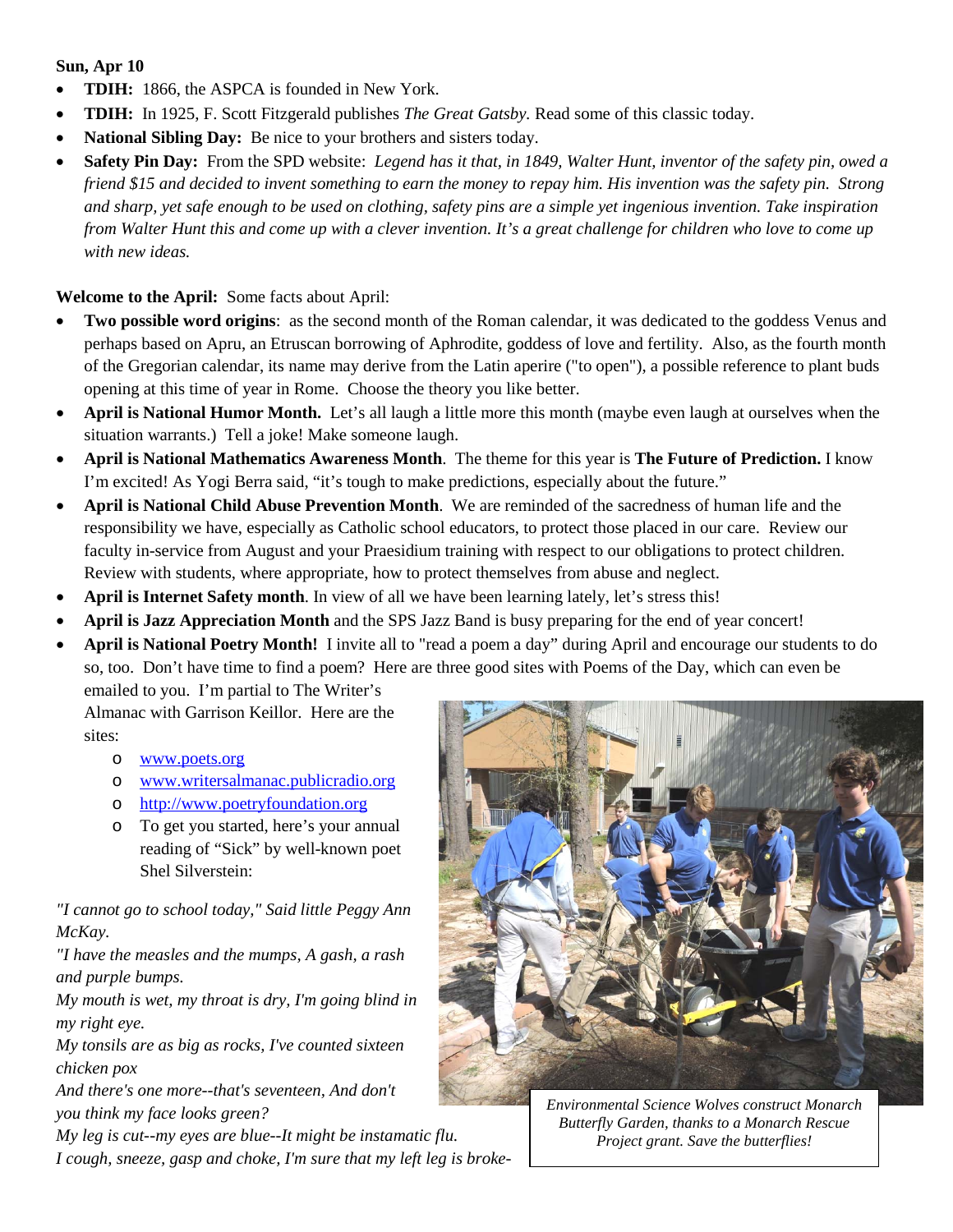#### **Sun, Apr 10**

- **TDIH:** 1866, the ASPCA is founded in New York.
- **TDIH:** In 1925, F. Scott Fitzgerald publishes *The Great Gatsby.* Read some of this classic today.
- **National Sibling Day:** Be nice to your brothers and sisters today.
- **Safety Pin Day:** From the SPD website: *Legend has it that, in 1849, Walter Hunt, inventor of the safety pin, owed a friend \$15 and decided to invent something to earn the money to repay him. His invention was the safety pin. Strong and sharp, yet safe enough to be used on clothing, safety pins are a simple yet ingenious invention. Take inspiration from Walter Hunt this and come up with a clever invention. It's a great challenge for children who love to come up with new ideas.*

**Welcome to the April:** Some facts about April:

- **Two possible word origins**: as the second month of the Roman calendar, it was dedicated to the goddess Venus and perhaps based on Apru, an Etruscan borrowing of Aphrodite, goddess of love and fertility. Also, as the fourth month of the Gregorian calendar, its name may derive from the Latin aperire ("to open"), a possible reference to plant buds opening at this time of year in Rome. Choose the theory you like better.
- **April is National Humor Month.** Let's all laugh a little more this month (maybe even laugh at ourselves when the situation warrants.) Tell a joke! Make someone laugh.
- **April is National Mathematics Awareness Month**. The theme for this year is **The Future of Prediction.** I know I'm excited! As Yogi Berra said, "it's tough to make predictions, especially about the future."
- **April is National Child Abuse Prevention Month**. We are reminded of the sacredness of human life and the responsibility we have, especially as Catholic school educators, to protect those placed in our care. Review our faculty in-service from August and your Praesidium training with respect to our obligations to protect children. Review with students, where appropriate, how to protect themselves from abuse and neglect.
- **April is Internet Safety month**. In view of all we have been learning lately, let's stress this!
- **April is Jazz Appreciation Month** and the SPS Jazz Band is busy preparing for the end of year concert!
- **April is National Poetry Month!** I invite all to "read a poem a day" during April and encourage our students to do so, too. Don't have time to find a poem? Here are three good sites with Poems of the Day, which can even be emailed to you. I'm partial to The Writer's

Almanac with Garrison Keillor. Here are the sites:

- o [www.poets.org](http://www.poets.org/)
- o [www.writersalmanac.publicradio.org](http://www.writersalmanac.publicradio.org/)
- o [http://www.poetryfoundation.org](http://www.poetryfoundation.org/)
- o To get you started, here's your annual reading of "Sick" by well-known poet Shel Silverstein:

*"I cannot go to school today," Said little Peggy Ann McKay.*

*"I have the measles and the mumps, A gash, a rash and purple bumps.*

*My mouth is wet, my throat is dry, I'm going blind in my right eye.*

*My tonsils are as big as rocks, I've counted sixteen chicken pox*

*And there's one more--that's seventeen, And don't you think my face looks green?*

*My leg is cut--my eyes are blue--It might be instamatic flu. I cough, sneeze, gasp and choke, I'm sure that my left leg is broke-*



*Environmental Science Wolves construct Monarch Butterfly Garden, thanks to a Monarch Rescue Project grant. Save the butterflies!*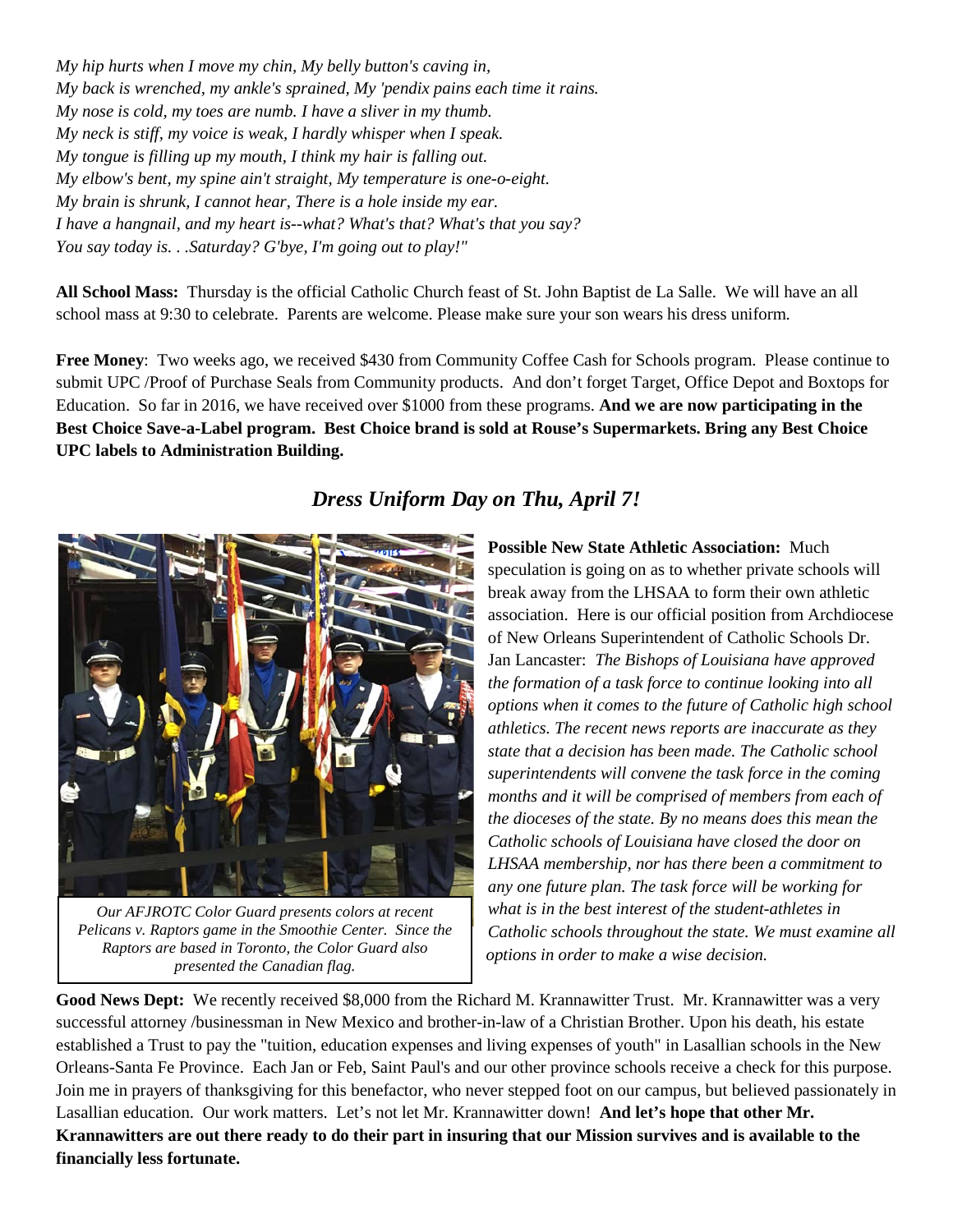*My hip hurts when I move my chin, My belly button's caving in, My back is wrenched, my ankle's sprained, My 'pendix pains each time it rains. My nose is cold, my toes are numb. I have a sliver in my thumb. My neck is stiff, my voice is weak, I hardly whisper when I speak. My tongue is filling up my mouth, I think my hair is falling out. My elbow's bent, my spine ain't straight, My temperature is one-o-eight. My brain is shrunk, I cannot hear, There is a hole inside my ear. I have a hangnail, and my heart is--what? What's that? What's that you say? You say today is. . .Saturday? G'bye, I'm going out to play!"*

**All School Mass:** Thursday is the official Catholic Church feast of St. John Baptist de La Salle. We will have an all school mass at 9:30 to celebrate. Parents are welcome. Please make sure your son wears his dress uniform.

**Free Money**: Two weeks ago, we received \$430 from Community Coffee Cash for Schools program. Please continue to submit UPC /Proof of Purchase Seals from Community products. And don't forget Target, Office Depot and Boxtops for Education. So far in 2016, we have received over \$1000 from these programs. **And we are now participating in the Best Choice Save-a-Label program. Best Choice brand is sold at Rouse's Supermarkets. Bring any Best Choice UPC labels to Administration Building.**

### *Dress Uniform Day on Thu, April 7!*



*Our AFJROTC Color Guard presents colors at recent Pelicans v. Raptors game in the Smoothie Center. Since the Raptors are based in Toronto, the Color Guard also presented the Canadian flag.*

**Possible New State Athletic Association:** Much speculation is going on as to whether private schools will break away from the LHSAA to form their own athletic association. Here is our official position from Archdiocese of New Orleans Superintendent of Catholic Schools Dr. Jan Lancaster: *The Bishops of Louisiana have approved the formation of a task force to continue looking into all options when it comes to the future of Catholic high school athletics. The recent news reports are inaccurate as they state that a decision has been made. The Catholic school superintendents will convene the task force in the coming months and it will be comprised of members from each of the dioceses of the state. By no means does this mean the Catholic schools of Louisiana have closed the door on LHSAA membership, nor has there been a commitment to any one future plan. The task force will be working for what is in the best interest of the student-athletes in Catholic schools throughout the state. We must examine all options in order to make a wise decision.*

**Good News Dept:** We recently received \$8,000 from the Richard M. Krannawitter Trust. Mr. Krannawitter was a very successful attorney /businessman in New Mexico and brother-in-law of a Christian Brother. Upon his death, his estate established a Trust to pay the "tuition, education expenses and living expenses of youth" in Lasallian schools in the New Orleans-Santa Fe Province. Each Jan or Feb, Saint Paul's and our other province schools receive a check for this purpose. Join me in prayers of thanksgiving for this benefactor, who never stepped foot on our campus, but believed passionately in Lasallian education. Our work matters. Let's not let Mr. Krannawitter down! **And let's hope that other Mr. Krannawitters are out there ready to do their part in insuring that our Mission survives and is available to the financially less fortunate.**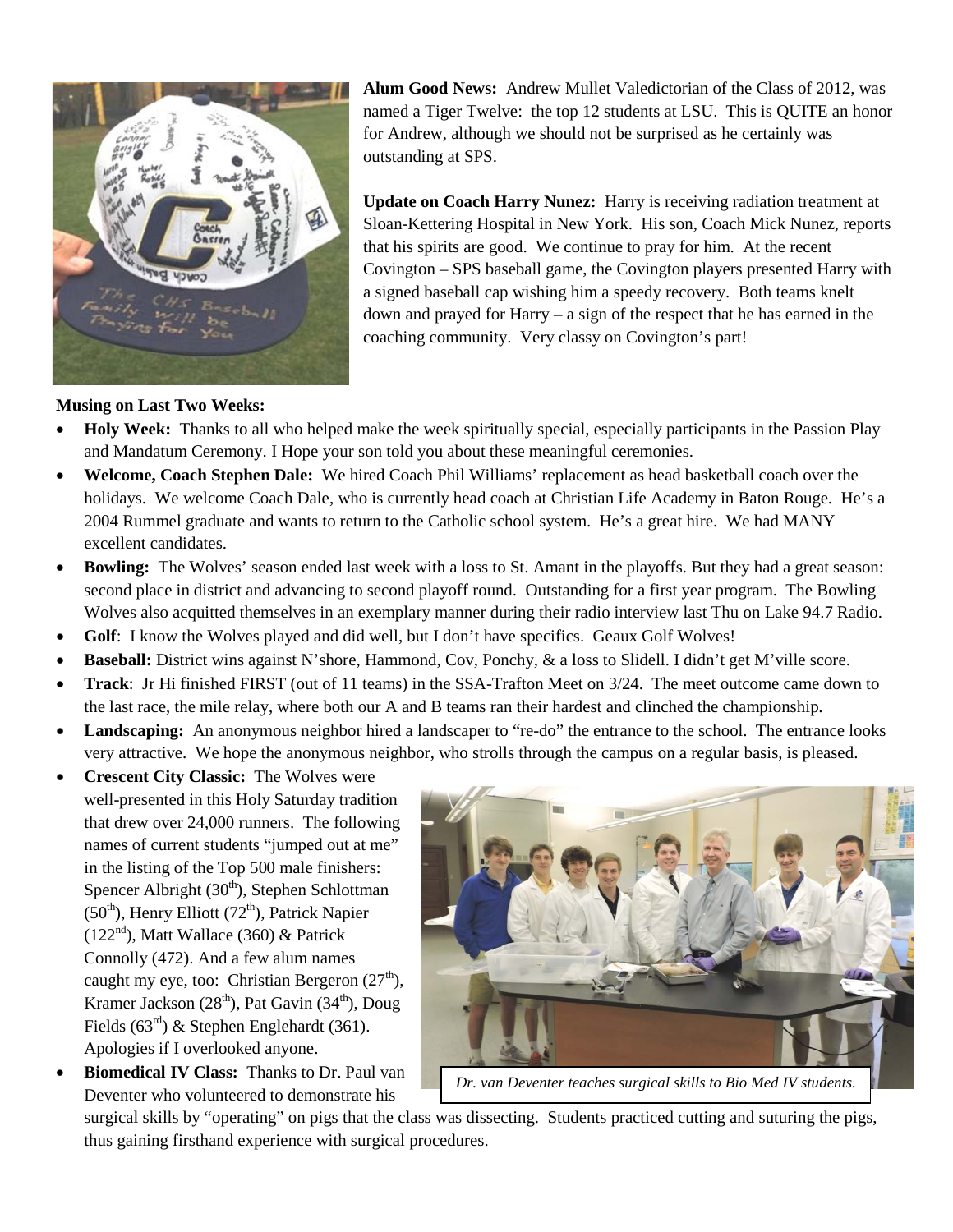

**Alum Good News:** Andrew Mullet Valedictorian of the Class of 2012, was named a Tiger Twelve: the top 12 students at LSU. This is QUITE an honor for Andrew, although we should not be surprised as he certainly was outstanding at SPS.

**Update on Coach Harry Nunez:** Harry is receiving radiation treatment at Sloan-Kettering Hospital in New York. His son, Coach Mick Nunez, reports that his spirits are good. We continue to pray for him. At the recent Covington – SPS baseball game, the Covington players presented Harry with a signed baseball cap wishing him a speedy recovery. Both teams knelt down and prayed for Harry – a sign of the respect that he has earned in the coaching community. Very classy on Covington's part!

#### **Musing on Last Two Weeks:**

- **Holy Week:** Thanks to all who helped make the week spiritually special, especially participants in the Passion Play and Mandatum Ceremony. I Hope your son told you about these meaningful ceremonies.
- **Welcome, Coach Stephen Dale:** We hired Coach Phil Williams' replacement as head basketball coach over the holidays. We welcome Coach Dale, who is currently head coach at Christian Life Academy in Baton Rouge. He's a 2004 Rummel graduate and wants to return to the Catholic school system. He's a great hire. We had MANY excellent candidates.
- **Bowling:** The Wolves' season ended last week with a loss to St. Amant in the playoffs. But they had a great season: second place in district and advancing to second playoff round. Outstanding for a first year program. The Bowling Wolves also acquitted themselves in an exemplary manner during their radio interview last Thu on Lake 94.7 Radio.
- Golf: I know the Wolves played and did well, but I don't have specifics. Geaux Golf Wolves!
- **Baseball:** District wins against N'shore, Hammond, Cov, Ponchy, & a loss to Slidell. I didn't get M'ville score.
- **Track**: Jr Hi finished FIRST (out of 11 teams) in the SSA-Trafton Meet on 3/24. The meet outcome came down to the last race, the mile relay, where both our A and B teams ran their hardest and clinched the championship.
- **Landscaping:** An anonymous neighbor hired a landscaper to "re-do" the entrance to the school. The entrance looks very attractive. We hope the anonymous neighbor, who strolls through the campus on a regular basis, is pleased.
- **Crescent City Classic:** The Wolves were well-presented in this Holy Saturday tradition that drew over 24,000 runners. The following names of current students "jumped out at me" in the listing of the Top 500 male finishers: Spencer Albright  $(30<sup>th</sup>)$ , Stephen Schlottman  $(50<sup>th</sup>)$ , Henry Elliott (72<sup>th</sup>), Patrick Napier  $(122<sup>nd</sup>)$ , Matt Wallace (360) & Patrick Connolly (472). And a few alum names caught my eye, too: Christian Bergeron  $(27<sup>th</sup>)$ , Kramer Jackson  $(28<sup>th</sup>)$ , Pat Gavin  $(34<sup>th</sup>)$ , Doug Fields  $(63<sup>rd</sup>)$  & Stephen Englehardt (361). Apologies if I overlooked anyone.
- **Biomedical IV Class:** Thanks to Dr. Paul van Deventer who volunteered to demonstrate his



*Dr. van Deventer teaches surgical skills to Bio Med IV students.*

surgical skills by "operating" on pigs that the class was dissecting. Students practiced cutting and suturing the pigs, thus gaining firsthand experience with surgical procedures.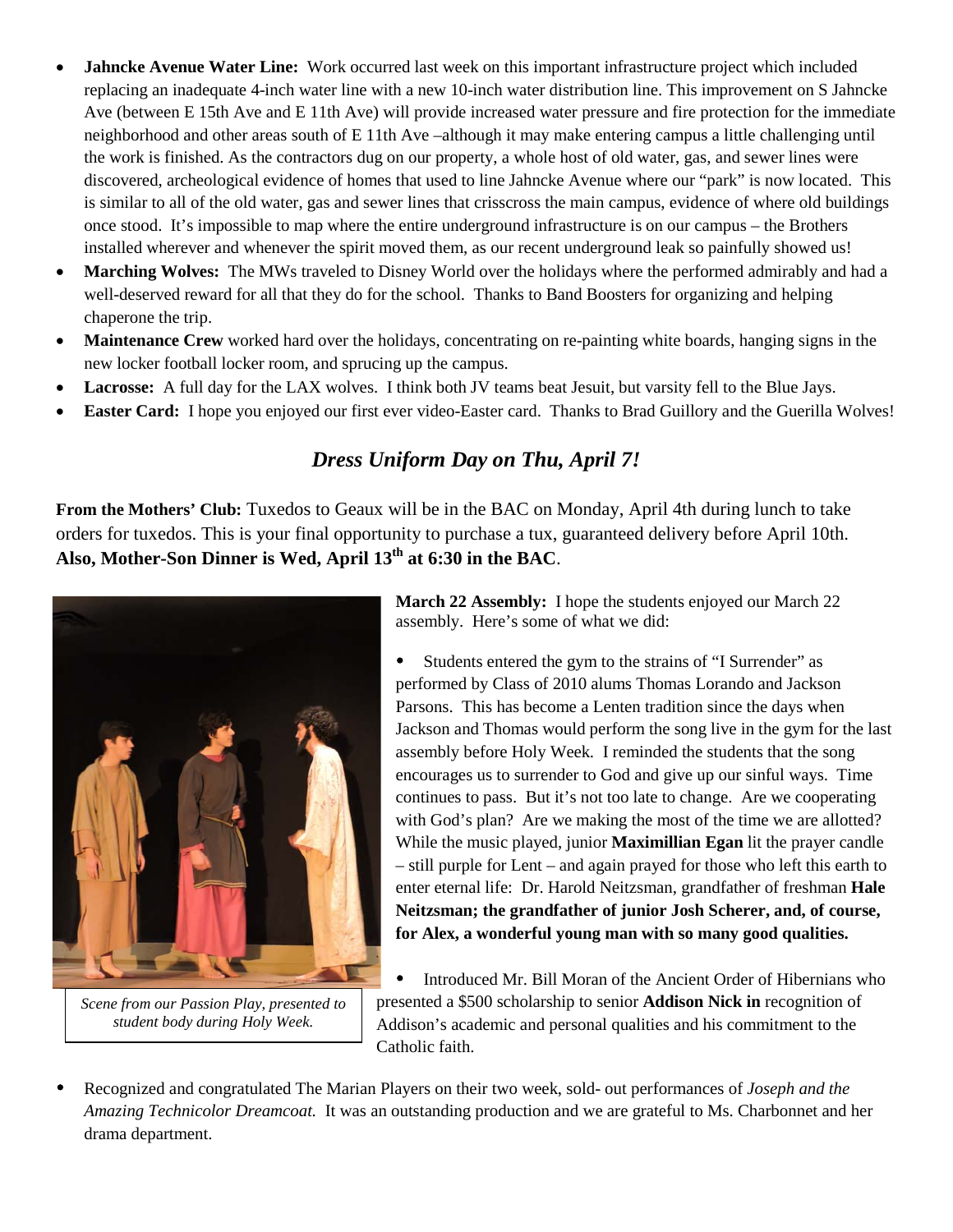- **Jahncke Avenue Water Line:** Work occurred last week on this important infrastructure project which included replacing an inadequate 4-inch water line with a new 10-inch water distribution line. This improvement on S Jahncke Ave (between E 15th Ave and E 11th Ave) will provide increased water pressure and fire protection for the immediate neighborhood and other areas south of E 11th Ave –although it may make entering campus a little challenging until the work is finished. As the contractors dug on our property, a whole host of old water, gas, and sewer lines were discovered, archeological evidence of homes that used to line Jahncke Avenue where our "park" is now located. This is similar to all of the old water, gas and sewer lines that crisscross the main campus, evidence of where old buildings once stood. It's impossible to map where the entire underground infrastructure is on our campus – the Brothers installed wherever and whenever the spirit moved them, as our recent underground leak so painfully showed us!
- **Marching Wolves:** The MWs traveled to Disney World over the holidays where the performed admirably and had a well-deserved reward for all that they do for the school. Thanks to Band Boosters for organizing and helping chaperone the trip.
- **Maintenance Crew** worked hard over the holidays, concentrating on re-painting white boards, hanging signs in the new locker football locker room, and sprucing up the campus.
- **Lacrosse:** A full day for the LAX wolves. I think both JV teams beat Jesuit, but varsity fell to the Blue Jays.
- **Easter Card:** I hope you enjoyed our first ever video-Easter card. Thanks to Brad Guillory and the Guerilla Wolves!

### *Dress Uniform Day on Thu, April 7!*

**From the Mothers' Club:** Tuxedos to Geaux will be in the BAC on Monday, April 4th during lunch to take orders for tuxedos. This is your final opportunity to purchase a tux, guaranteed delivery before April 10th. **Also, Mother-Son Dinner is Wed, April 13th at 6:30 in the BAC**.



*Scene from our Passion Play, presented to student body during Holy Week.*

**March 22 Assembly:** I hope the students enjoyed our March 22 assembly. Here's some of what we did:

 Students entered the gym to the strains of "I Surrender" as performed by Class of 2010 alums Thomas Lorando and Jackson Parsons. This has become a Lenten tradition since the days when Jackson and Thomas would perform the song live in the gym for the last assembly before Holy Week. I reminded the students that the song encourages us to surrender to God and give up our sinful ways. Time continues to pass. But it's not too late to change. Are we cooperating with God's plan? Are we making the most of the time we are allotted? While the music played, junior **Maximillian Egan** lit the prayer candle – still purple for Lent – and again prayed for those who left this earth to enter eternal life: Dr. Harold Neitzsman, grandfather of freshman **Hale Neitzsman; the grandfather of junior Josh Scherer, and, of course, for Alex, a wonderful young man with so many good qualities.**

 Introduced Mr. Bill Moran of the Ancient Order of Hibernians who presented a \$500 scholarship to senior **Addison Nick in** recognition of Addison's academic and personal qualities and his commitment to the Catholic faith.

Recognized and congratulated The Marian Players on their two week, sold- out performances of *Joseph and the Amazing Technicolor Dreamcoat.* It was an outstanding production and we are grateful to Ms. Charbonnet and her drama department.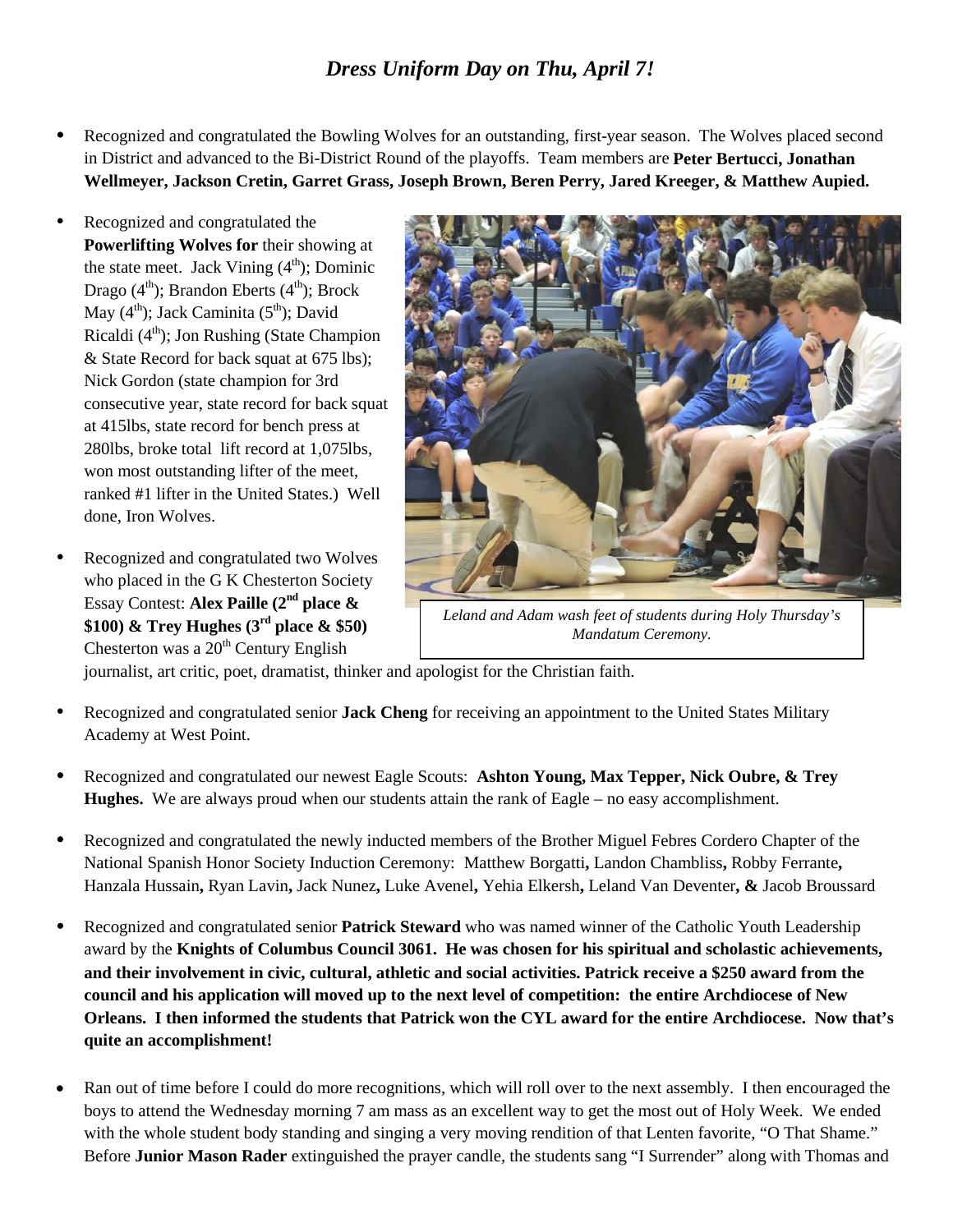### *Dress Uniform Day on Thu, April 7!*

- Recognized and congratulated the Bowling Wolves for an outstanding, first-year season. The Wolves placed second in District and advanced to the Bi-District Round of the playoffs. Team members are **Peter Bertucci, Jonathan Wellmeyer, Jackson Cretin, Garret Grass, Joseph Brown, Beren Perry, Jared Kreeger, & Matthew Aupied.**
- Recognized and congratulated the **Powerlifting Wolves for** their showing at the state meet. Jack Vining  $(4<sup>th</sup>)$ ; Dominic Drago  $(4<sup>th</sup>)$ ; Brandon Eberts  $(4<sup>th</sup>)$ ; Brock May  $(4<sup>th</sup>)$ ; Jack Caminita  $(5<sup>th</sup>)$ ; David Ricaldi  $(4<sup>th</sup>)$ ; Jon Rushing (State Champion & State Record for back squat at 675 lbs); Nick Gordon (state champion for 3rd consecutive year, state record for back squat at 415lbs, state record for bench press at 280lbs, broke total lift record at 1,075lbs, won most outstanding lifter of the meet, ranked #1 lifter in the United States.) Well done, Iron Wolves.
- Recognized and congratulated two Wolves who placed in the G K Chesterton Society Essay Contest: **Alex Paille (2nd place & \$100) & Trey Hughes (3rd place & \$50)** Chesterton was a  $20<sup>th</sup>$  Century English



*Leland and Adam wash feet of students during Holy Thursday's Mandatum Ceremony.*

journalist, art critic, poet, dramatist, thinker and apologist for the Christian faith.

- Recognized and congratulated senior **Jack Cheng** for receiving an appointment to the United States Military Academy at West Point.
- Recognized and congratulated our newest Eagle Scouts: **Ashton Young, Max Tepper, Nick Oubre, & Trey Hughes.** We are always proud when our students attain the rank of Eagle – no easy accomplishment.
- Recognized and congratulated the newly inducted members of the Brother Miguel Febres Cordero Chapter of the National Spanish Honor Society Induction Ceremony: Matthew Borgatti**,** Landon Chambliss**,** Robby Ferrante**,**  Hanzala Hussain**,** Ryan Lavin**,** Jack Nunez**,** Luke Avenel**,** Yehia Elkersh**,** Leland Van Deventer**, &** Jacob Broussard
- Recognized and congratulated senior **Patrick Steward** who was named winner of the Catholic Youth Leadership award by the **Knights of Columbus Council 3061. He was chosen for his spiritual and scholastic achievements, and their involvement in civic, cultural, athletic and social activities. Patrick receive a \$250 award from the council and his application will moved up to the next level of competition: the entire Archdiocese of New Orleans. I then informed the students that Patrick won the CYL award for the entire Archdiocese. Now that's quite an accomplishment!**
- Ran out of time before I could do more recognitions, which will roll over to the next assembly. I then encouraged the boys to attend the Wednesday morning 7 am mass as an excellent way to get the most out of Holy Week. We ended with the whole student body standing and singing a very moving rendition of that Lenten favorite, "O That Shame." Before **Junior Mason Rader** extinguished the prayer candle, the students sang "I Surrender" along with Thomas and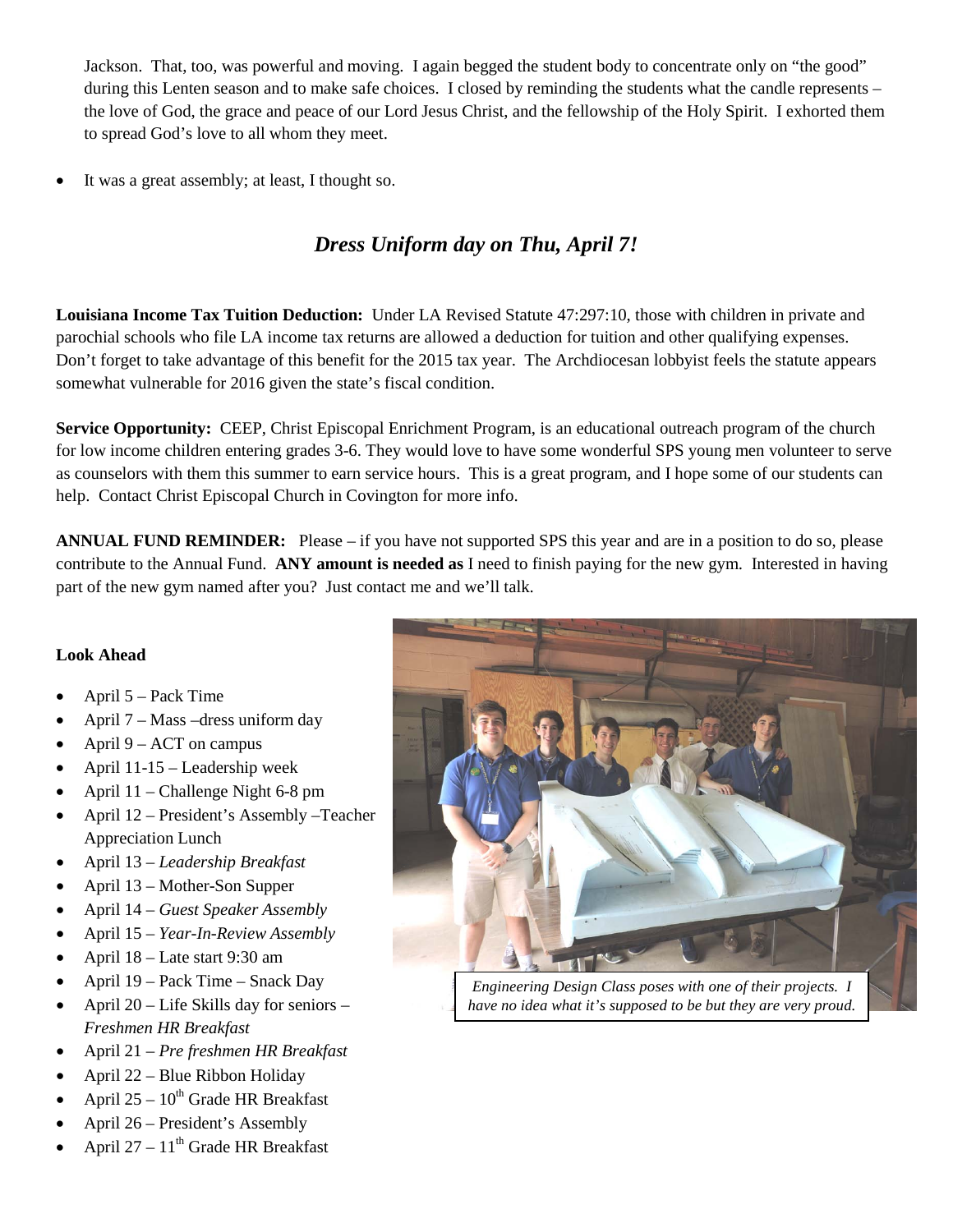Jackson. That, too, was powerful and moving. I again begged the student body to concentrate only on "the good" during this Lenten season and to make safe choices. I closed by reminding the students what the candle represents – the love of God, the grace and peace of our Lord Jesus Christ, and the fellowship of the Holy Spirit. I exhorted them to spread God's love to all whom they meet.

It was a great assembly; at least, I thought so.

### *Dress Uniform day on Thu, April 7!*

**Louisiana Income Tax Tuition Deduction:** Under LA Revised Statute 47:297:10, those with children in private and parochial schools who file LA income tax returns are allowed a deduction for tuition and other qualifying expenses. Don't forget to take advantage of this benefit for the 2015 tax year. The Archdiocesan lobbyist feels the statute appears somewhat vulnerable for 2016 given the state's fiscal condition.

**Service Opportunity:** CEEP, Christ Episcopal Enrichment Program, is an educational outreach program of the church for low income children entering grades 3-6. They would love to have some wonderful SPS young men volunteer to serve as counselors with them this summer to earn service hours. This is a great program, and I hope some of our students can help. Contact Christ Episcopal Church in Covington for more info.

**ANNUAL FUND REMINDER:** Please – if you have not supported SPS this year and are in a position to do so, please contribute to the Annual Fund. **ANY amount is needed as** I need to finish paying for the new gym. Interested in having part of the new gym named after you? Just contact me and we'll talk.

#### **Look Ahead**

- April 5 Pack Time
- April 7 Mass –dress uniform day
- April  $9 ACT$  on campus
- April 11-15 Leadership week
- April 11 Challenge Night 6-8 pm
- April 12 President's Assembly –Teacher Appreciation Lunch
- April 13 *Leadership Breakfast*
- April 13 Mother-Son Supper
- April 14 *Guest Speaker Assembly*
- April 15 *Year-In-Review Assembly*
- April 18 Late start 9:30 am
- April 19 Pack Time Snack Day
- April  $20 -$  Life Skills day for seniors *Freshmen HR Breakfast*
- April 21 *Pre freshmen HR Breakfast*
- April 22 Blue Ribbon Holiday
- April  $25 10^{th}$  Grade HR Breakfast
- April 26 President's Assembly
- April 27  $11<sup>th</sup>$  Grade HR Breakfast



*Engineering Design Class poses with one of their projects. I have no idea what it's supposed to be but they are very proud.*